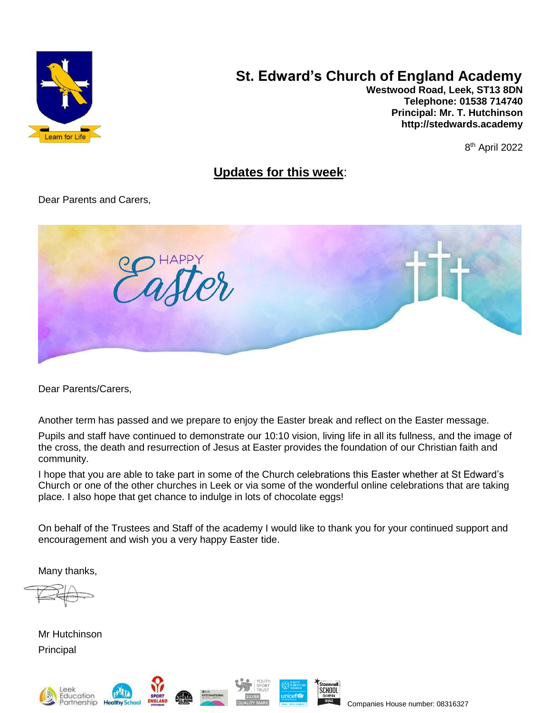

# **St. Edward's Church of England Academy**

**Westwood Road, Leek, ST13 8DN Telephone: 01538 714740 Principal: Mr. T. Hutchinson [http://stedwards.academy](http://stedwards.academy/)**

8 th April 2022

# **Updates for this week**:

Dear Parents and Carers,



Dear Parents/Carers,

Another term has passed and we prepare to enjoy the Easter break and reflect on the Easter message.

Pupils and staff have continued to demonstrate our 10:10 vision, living life in all its fullness, and the image of the cross, the death and resurrection of Jesus at Easter provides the foundation of our Christian faith and community.

I hope that you are able to take part in some of the Church celebrations this Easter whether at St Edward's Church or one of the other churches in Leek or via some of the wonderful online celebrations that are taking place. I also hope that get chance to indulge in lots of chocolate eggs!

On behalf of the Trustees and Staff of the academy I would like to thank you for your continued support and encouragement and wish you a very happy Easter tide.

Many thanks,

Mr Hutchinson **Principal** 







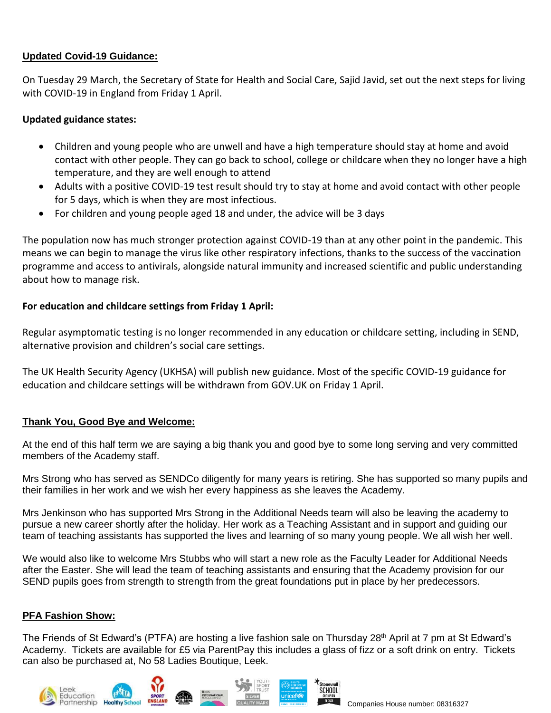# **Updated Covid-19 Guidance:**

On Tuesday 29 March, the Secretary of State for Health and Social Care, Sajid Javid, set out the next steps for living with COVID-19 in England from Friday 1 April.

## **Updated guidance states:**

- Children and young people who are unwell and have a high temperature should stay at home and avoid contact with other people. They can go back to school, college or childcare when they no longer have a high temperature, and they are well enough to attend
- Adults with a positive COVID-19 test result should try to stay at home and avoid contact with other people for 5 days, which is when they are most infectious.
- For children and young people aged 18 and under, the advice will be 3 days

The population now has much stronger protection against COVID-19 than at any other point in the pandemic. This means we can begin to manage the virus like other respiratory infections, thanks to the success of the vaccination programme and access to antivirals, alongside natural immunity and increased scientific and public understanding about how to manage risk.

## **For education and childcare settings from Friday 1 April:**

Regular asymptomatic testing is no longer recommended in any education or childcare setting, including in SEND, alternative provision and children's social care settings.

The UK Health Security Agency (UKHSA) will publish new guidance. Most of the specific COVID-19 guidance for education and childcare settings will be withdrawn from GOV.UK on Friday 1 April.

# **Thank You, Good Bye and Welcome:**

At the end of this half term we are saying a big thank you and good bye to some long serving and very committed members of the Academy staff.

Mrs Strong who has served as SENDCo diligently for many years is retiring. She has supported so many pupils and their families in her work and we wish her every happiness as she leaves the Academy.

Mrs Jenkinson who has supported Mrs Strong in the Additional Needs team will also be leaving the academy to pursue a new career shortly after the holiday. Her work as a Teaching Assistant and in support and guiding our team of teaching assistants has supported the lives and learning of so many young people. We all wish her well.

We would also like to welcome Mrs Stubbs who will start a new role as the Faculty Leader for Additional Needs after the Easter. She will lead the team of teaching assistants and ensuring that the Academy provision for our SEND pupils goes from strength to strength from the great foundations put in place by her predecessors.

# **PFA Fashion Show:**

The Friends of St Edward's (PTFA) are hosting a live fashion sale on Thursday 28<sup>th</sup> April at 7 pm at St Edward's Academy. Tickets are available for £5 via ParentPay this includes a glass of fizz or a soft drink on entry. Tickets can also be purchased at, No 58 Ladies Boutique, Leek.

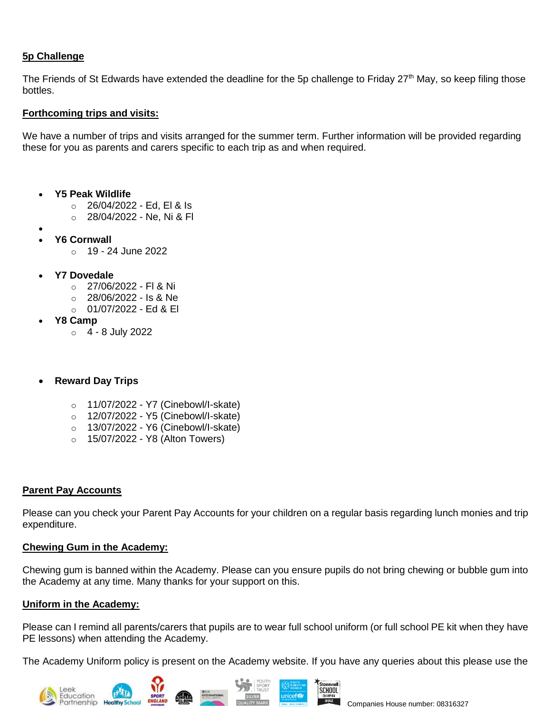# **5p Challenge**

The Friends of St Edwards have extended the deadline for the 5p challenge to Friday 27<sup>th</sup> May, so keep filing those bottles.

## **Forthcoming trips and visits:**

We have a number of trips and visits arranged for the summer term. Further information will be provided regarding these for you as parents and carers specific to each trip as and when required.

- **Y5 Peak Wildlife**
	- o 26/04/2022 Ed, El & Is
	- o 28/04/2022 Ne, Ni & Fl
- •
- **Y6 Cornwall**
	- $\circ$  19 24 June 2022
- **Y7 Dovedale**
	- $\circ$  27/06/2022 FI & Ni
	- $\circ$  28/06/2022 Is & Ne
	- $\circ$  01/07/2022 Ed & El
- **Y8 Camp**
	- $\circ$  4 8 July 2022
- **Reward Day Trips**
	- o 11/07/2022 Y7 (Cinebowl/I-skate)
	- o 12/07/2022 Y5 (Cinebowl/I-skate)
	- o 13/07/2022 Y6 (Cinebowl/I-skate)
	- o 15/07/2022 Y8 (Alton Towers)

#### **Parent Pay Accounts**

Please can you check your Parent Pay Accounts for your children on a regular basis regarding lunch monies and trip expenditure.

#### **Chewing Gum in the Academy:**

Chewing gum is banned within the Academy. Please can you ensure pupils do not bring chewing or bubble gum into the Academy at any time. Many thanks for your support on this.

#### **Uniform in the Academy:**

Please can I remind all parents/carers that pupils are to wear full school uniform (or full school PE kit when they have PE lessons) when attending the Academy.

The Academy Uniform policy is present on the Academy website. If you have any queries about this please use the